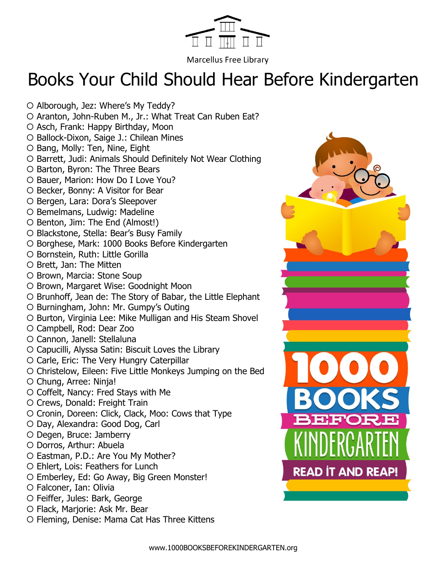

**Marcellus Free Library** 

## Books Your Child Should Hear Before Kindergarten

- O Alborough, Jez: Where's My Teddy?
- O Aranton, John-Ruben M., Jr.: What Treat Can Ruben Eat?
- O Asch, Frank: Happy Birthday, Moon
- O Ballock-Dixon, Saige J.: Chilean Mines
- $\circ$  Bang, Molly: Ten, Nine, Eight
- O Barrett, Judi: Animals Should Definitely Not Wear Clothing
- O Barton, Byron: The Three Bears
- O Bauer, Marion: How Do I Love You?
- O Becker, Bonny: A Visitor for Bear
- O Bergen, Lara: Dora's Sleepover
- O Bemelmans, Ludwig: Madeline
- O Benton, Jim: The End (Almost!)
- Blackstone, Stella: Bear's Busy Family
- O Borghese, Mark: 1000 Books Before Kindergarten
- O Bornstein, Ruth: Little Gorilla
- O Brett, Jan: The Mitten
- O Brown, Marcia: Stone Soup
- O Brown, Margaret Wise: Goodnight Moon
- O Brunhoff, Jean de: The Story of Babar, the Little Elephant
- O Burningham, John: Mr. Gumpy's Outing
- O Burton, Virginia Lee: Mike Mulligan and His Steam Shovel
- Campbell, Rod: Dear Zoo
- Cannon, Janell: Stellaluna
- Capucilli, Alyssa Satin: Biscuit Loves the Library
- Carle, Eric: The Very Hungry Caterpillar
- Christelow, Eileen: Five Little Monkeys Jumping on the Bed
- Chung, Arree: Ninja!
- Coffelt, Nancy: Fred Stays with Me
- Crews, Donald: Freight Train
- Cronin, Doreen: Click, Clack, Moo: Cows that Type
- O Day, Alexandra: Good Dog, Carl
- Degen, Bruce: Jamberry
- Dorros, Arthur: Abuela
- O Eastman, P.D.: Are You My Mother?
- Ehlert, Lois: Feathers for Lunch
- Emberley, Ed: Go Away, Big Green Monster!
- Falconer, Ian: Olivia
- Feiffer, Jules: Bark, George
- Flack, Marjorie: Ask Mr. Bear
- Fleming, Denise: Mama Cat Has Three Kittens

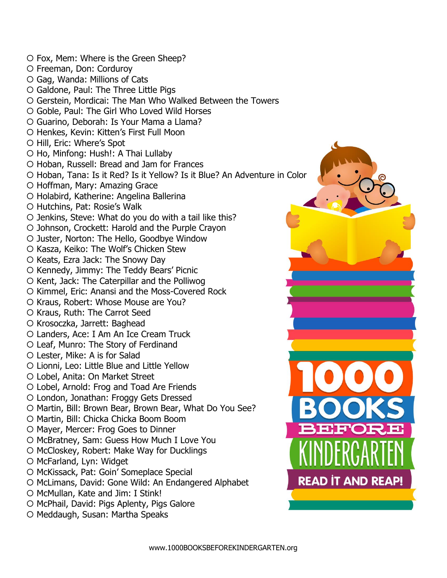- $\circ$  Fox, Mem: Where is the Green Sheep? Freeman, Don: Corduroy Gag, Wanda: Millions of Cats Galdone, Paul: The Three Little Pigs Gerstein, Mordicai: The Man Who Walked Between the Towers Goble, Paul: The Girl Who Loved Wild Horses Guarino, Deborah: Is Your Mama a Llama? O Henkes, Kevin: Kitten's First Full Moon O Hill, Eric: Where's Spot O Ho, Minfong: Hush!: A Thai Lullaby O Hoban, Russell: Bread and Jam for Frances O Hoban, Tana: Is it Red? Is it Yellow? Is it Blue? An Adventure in Color O Hoffman, Mary: Amazing Grace O Holabird, Katherine: Angelina Ballerina Hutchins, Pat: Rosie's Walk  $\circ$  Jenkins, Steve: What do you do with a tail like this? Johnson, Crockett: Harold and the Purple Crayon Juster, Norton: The Hello, Goodbye Window O Kasza, Keiko: The Wolf's Chicken Stew O Keats, Ezra Jack: The Snowy Day  $\circ$  Kennedy, Jimmy: The Teddy Bears' Picnic  $\circ$  Kent, Jack: The Caterpillar and the Polliwog O Kimmel, Eric: Anansi and the Moss-Covered Rock O Kraus, Robert: Whose Mouse are You? O Kraus, Ruth: The Carrot Seed O Krosoczka, Jarrett: Baghead Landers, Ace: I Am An Ice Cream Truck O Leaf, Munro: The Story of Ferdinand Lester, Mike: A is for Salad Lionni, Leo: Little Blue and Little Yellow Lobel, Anita: On Market Street Lobel, Arnold: Frog and Toad Are Friends London, Jonathan: Froggy Gets Dressed O Martin, Bill: Brown Bear, Brown Bear, What Do You See? O Martin, Bill: Chicka Chicka Boom Boom O Mayer, Mercer: Frog Goes to Dinner O McBratney, Sam: Guess How Much I Love You O McCloskey, Robert: Make Way for Ducklings O McFarland, Lyn: Widget O McKissack, Pat: Goin' Someplace Special **READ IT AND REAP!** O McLimans, David: Gone Wild: An Endangered Alphabet O McMullan, Kate and Jim: I Stink! O McPhail, David: Pigs Aplenty, Pigs Galore
	- O Meddaugh, Susan: Martha Speaks